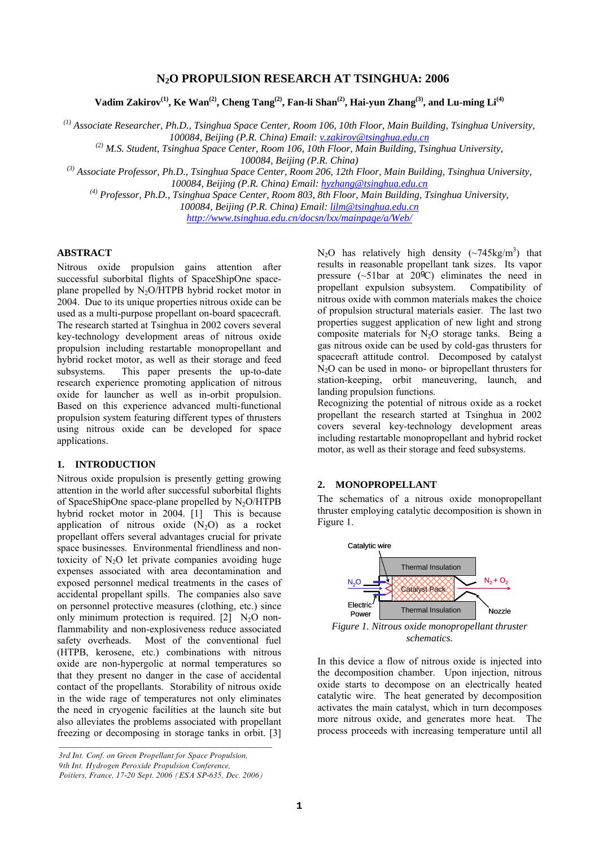# **N2O PROPULSION RESEARCH AT TSINGHUA: 2006**

Vadim Zakirov<sup>(1)</sup>, Ke Wan<sup>(2)</sup>, Cheng Tang<sup>(2)</sup>, Fan-li Shan<sup>(2)</sup>, Hai-yun Zhang<sup>(3)</sup>, and Lu-ming Li<sup>(4)</sup>

*(1) Associate Researcher, Ph.D., Tsinghua Space Center, Room 106, 10th Floor, Main Building, Tsinghua University, 100084, Beijing (P.R. China) Email: [v.zakirov@tsinghua.edu.cn](mailto:v.zakirov@tsinghua.edu.cn)*

*(2) M.S. Student, Tsinghua Space Center, Room 106, 10th Floor, Main Building, Tsinghua University,* 

*100084, Beijing (P.R. China)* 

*(3) Associate Professor, Ph.D., Tsinghua Space Center, Room 206, 12th Floor, Main Building, Tsinghua University, 100084, Beijing (P.R. China) Email: [hyzhang@tsinghua.edu.cn](mailto:hyzhang@tsinghua.edu.cn)*

*(4) Professor, Ph.D., Tsinghua Space Center, Room 803, 8th Floor, Main Building, Tsinghua University, 100084, Beijing (P.R. China) Email: [lilm@tsinghua.edu.cn](mailto:lilm@tsinghua.edu.cn) <http://www.tsinghua.edu.cn/docsn/lxx/mainpage/a/Web/>*

## **ABSTRACT**

Nitrous oxide propulsion gains attention after successful suborbital flights of SpaceShipOne spaceplane propelled by  $N_2O/HTPB$  hybrid rocket motor in 2004. Due to its unique properties nitrous oxide can be used as a multi-purpose propellant on-board spacecraft. The research started at Tsinghua in 2002 covers several key-technology development areas of nitrous oxide propulsion including restartable monopropellant and hybrid rocket motor, as well as their storage and feed subsystems. This paper presents the up-to-date research experience promoting application of nitrous oxide for launcher as well as in-orbit propulsion. Based on this experience advanced multi-functional propulsion system featuring different types of thrusters using nitrous oxide can be developed for space applications.

## **1. INTRODUCTION**

Nitrous oxide propulsion is presently getting growing attention in the world after successful suborbital flights of SpaceShipOne space-plane propelled by  $N_2O/HTPB$ hybrid rocket motor in 2004. [\[1](#page-5-0)] This is because application of nitrous oxide  $(N_2O)$  as a rocket propellant offers several advantages crucial for private space businesses. Environmental friendliness and nontoxicity of  $N_2O$  let private companies avoiding huge expenses associated with area decontamination and exposed personnel medical treatments in the cases of accidental propellant spills. The companies also save on personnel protective measures (clothing, etc.) since only minimum protection is required.  $[2]$  $[2]$  N<sub>2</sub>O nonflammability and non-explosiveness reduce associated safety overheads. Most of the conventional fuel (HTPB, kerosene, etc.) combinations with nitrous oxide are non-hypergolic at normal temperatures so that they present no danger in the case of accidental contact of the propellants. Storability of nitrous oxide in the wide rage of temperatures not only eliminates the need in cryogenic facilities at the launch site but also alleviates the problems associated with propellant freezing or decomposing in storage tanks in orbit. [\[3](#page-5-2)]

<span id="page-0-0"></span>*\_\_\_\_\_\_\_\_\_\_\_\_\_\_\_\_\_\_\_\_\_\_\_\_\_\_\_\_\_\_\_\_\_\_\_\_\_\_\_\_\_\_\_\_\_\_\_\_\_\_\_\_\_* 

N<sub>2</sub>O has relatively high density  $(\sim 745 \text{kg/m}^3)$  that results in reasonable propellant tank sizes. Its vapor pressure  $({\sim}51 \text{bar at } 20^{\circ}\text{C})$  eliminates the need in propellant expulsion subsystem. Compatibility of nitrous oxide with common materials makes the choice of propulsion structural materials easier. The last two properties suggest application of new light and strong composite materials for  $N_2O$  storage tanks. Being a gas nitrous oxide can be used by cold-gas thrusters for spacecraft attitude control. Decomposed by catalyst  $N<sub>2</sub>O$  can be used in mono- or bipropellant thrusters for station-keeping, orbit maneuvering, launch, and landing propulsion functions.

Recognizing the potential of nitrous oxide as a rocket propellant the research started at Tsinghua in 2002 covers several key-technology development areas including restartable monopropellant and hybrid rocket motor, as well as their storage and feed subsystems.

## **2. MONOPROPELLANT**

The schematics of a nitrous oxide monopropellant thruster employing catalytic decomposition is shown in [Figure 1](#page-0-0).



*schematics.*

In this device a flow of nitrous oxide is injected into the decomposition chamber. Upon injection, nitrous oxide starts to decompose on an electrically heated catalytic wire. The heat generated by decomposition activates the main catalyst, which in turn decomposes more nitrous oxide, and generates more heat. The process proceeds with increasing temperature until all

*<sup>3</sup>rd Int. Conf. on Green Propellant for Space Propulsion, 9th Int. Hydrogen Peroxide Propulsion Conference, Poitiers, France, 17-20 Sept. 2006 (ESA SP-635, Dec. 2006)*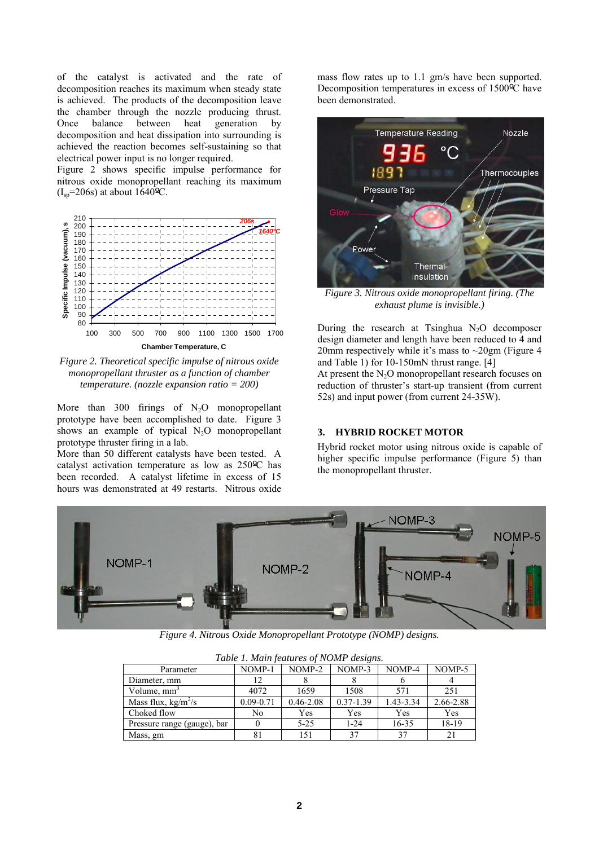of the catalyst is activated and the rate of decomposition reaches its maximum when steady state is achieved. The products of the decomposition leave the chamber through the nozzle producing thrust. Once balance between heat generation by decomposition and heat dissipation into surrounding is achieved the reaction becomes self-sustaining so that electrical power input is no longer required.

[Figure 2](#page-1-0) shows specific impulse performance for nitrous oxide monopropellant reaching its maximum  $(I_{sp} = 206s)$  at about  $1640^{\circ}$ C.



<span id="page-1-1"></span><span id="page-1-0"></span>*Figure 2. Theoretical specific impulse of nitrous oxide monopropellant thruster as a function of chamber temperature. (nozzle expansion ratio = 200)* 

More than 300 firings of  $N_2O$  monopropellant prototype have been accomplished to date. [Figure 3](#page-1-1) shows an example of typical  $N_2O$  monopropellant prototype thruster firing in a lab.

More than 50 different catalysts have been tested. A catalyst activation temperature as low as 250ºC has been recorded. A catalyst lifetime in excess of 15 hours was demonstrated at 49 restarts. Nitrous oxide

mass flow rates up to 1.1 gm/s have been supported. Decomposition temperatures in excess of 1500ºC have been demonstrated.



*Figure 3. Nitrous oxide monopropellant firing. (The exhaust plume is invisible.)* 

During the research at Tsinghua  $N_2O$  decomposer design diameter and length have been reduced to 4 and 20mm respectively while it's mass to  $\sim$ 20gm [\(Figure 4](#page-1-2)) and [Table 1\)](#page-1-3) for 10-150mN thrust range. [[4\]](#page-5-3) At present the  $N_2O$  monopropellant research focuses on

reduction of thruster's start-up transient (from current 52s) and input power (from current 24-35W).

## **3. HYBRID ROCKET MOTOR**

Hybrid rocket motor using nitrous oxide is capable of higher specific impulse performance [\(Figure 5](#page-2-0)) than the monopropellant thruster.



*Figure 4. Nitrous Oxide Monopropellant Prototype (NOMP) designs.* 

<span id="page-1-3"></span><span id="page-1-2"></span>

| Table 1. Main features of NOME designs. |               |               |               |           |           |
|-----------------------------------------|---------------|---------------|---------------|-----------|-----------|
| Parameter                               | NOMP-1        | NOMP-2        | NOMP-3        | NOMP-4    | NOMP-5    |
| Diameter, mm                            | 12            |               |               |           |           |
| Volume, mm <sup>3</sup>                 | 4072          | 1659          | 1508          | 571       | 251       |
| Mass flux, $kg/m^2/s$                   | $0.09 - 0.71$ | $0.46 - 2.08$ | $0.37 - 1.39$ | 1.43-3.34 | 2.66-2.88 |
| Choked flow                             | No            | Yes           | Yes           | Yes       | Yes       |
| Pressure range (gauge), bar             |               | $5 - 25$      | $1 - 24$      | $16 - 35$ | 18-19     |
| Mass, gm                                | 81            | 151           | 37            |           |           |

*Table 1. Main features of NOMP designs.*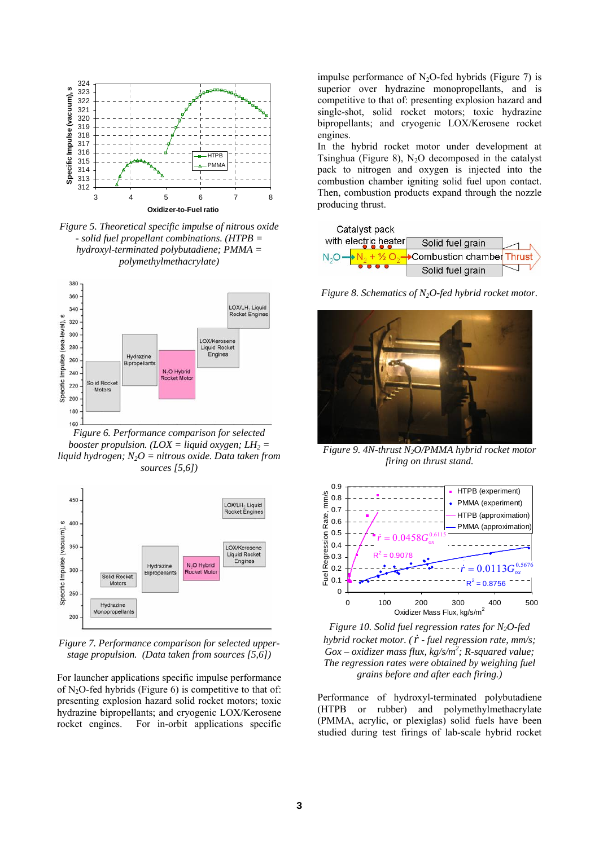

<span id="page-2-0"></span>*Figure 5. Theoretical specific impulse of nitrous oxide - solid fuel propellant combinations. (HTPB = hydroxyl-terminated polybutadiene; PMMA = polymethylmethacrylate)* 



<span id="page-2-1"></span>*Figure 6. Performance comparison for selected booster propulsion.* (*LOX = liquid oxygen; LH*<sub>2</sub> = *liq uid hydrogen; N2O = nitrous oxide. Data taken from sources [[5](#page-5-4)[,6](#page-5-5)])* 

<span id="page-2-2"></span>

<span id="page-2-3"></span>*Figure 7. Performance comparison for selected upperstage propulsion. (Data taken from sources [[5,](#page-5-4)[6](#page-5-5)])* 

For launcher applications specific impulse performance of N<sub>2</sub>O-fed hybrids ([Figure 6\)](#page-2-1) is competitive to that of: presenting explosion hazard solid rocket motors; toxic hydrazine bipropellants; and cryogenic LOX/Kerosene rocket engines. For in-orbit applications specific

impulse performance of  $N_2O$ -fed hybrids (Figure 7) is superior over hydrazine monopropellants, and is competitive to that of: presenting explosion hazard and single-shot, solid rocket motors; toxic hydrazine bipropellants; and cryogenic LOX/Kerosene rocket engines.

Tsinghua (Figure 8),  $N_2O$  decomposed in the catalyst In the hybrid rocket motor under development at pack to nitrogen and oxygen is injected into the combustion chamber igniting solid fuel upon contact. Then, combustion products expand through the nozzle producing thrust.



*Figure 8. Schematics of N2O-fed hybrid rocket motor.*



*Figure 9. 4N-thrust N2O/PMMA hybrid rocket motor firing on thrust stand.* 



*Figure 10. Solid fuel regression rates for N2O-fed hybrid rocket motor.* ( $\dot{r}$  *- fuel regression rate, mm/s; Gox – oxidizer mass flux, kg/s/m<sup>2</sup>; R-squared value;* Gox – oxidizer mass flux, kg/s/m<sup>2</sup>; R-squared value; *The regression rates were obtained by weighing fuel grains before and after each firing.)* 

Performance of hydroxyl-terminated polybutadiene (HTPB or rubber) and polymethylmethacrylate (PMMA, acrylic, or plexiglas) solid fuels have been studied during test firings of lab-scale hybrid rocket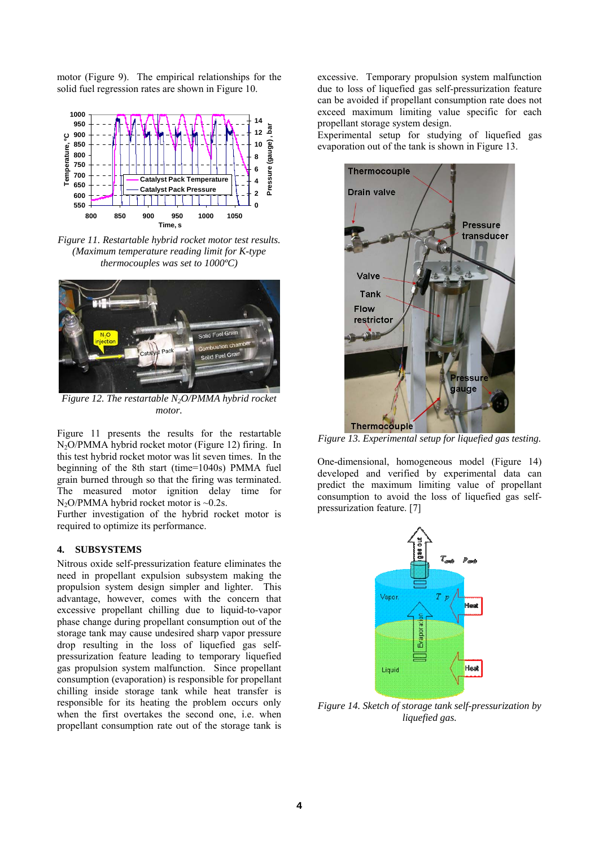motor ([Figure 9\)](#page-2-2). The empirical relationships for the solid fuel regression rates are shown in [Figure 10.](#page-2-3)



*Figure 11. Restartable hybrid rocket motor test results. (Maximum temperature reading limit for K-type thermocouples was set to 1000ºC)* 



*Figure 12. The restartable N2O/PMMA hybrid rocket motor.* 

Figure 11 presents the results for the restartable  $N<sub>2</sub>O/PMMA$  hybrid rocket motor (Figure 12) firing. In this test hybrid rocket motor was lit seven times. In the beginning of the 8th start (time=1040s) PMMA fuel grain burned through so that the firing was terminated. The measured motor ignition delay time for  $N_2O/PMMA$  hybrid rocket motor is ~0.2s.

Further investigation of the hybrid rocket motor is required to optimize its performance.

# **4. SUBSYSTEMS**

<span id="page-3-0"></span>Nitrous oxide self-pressurization feature eliminates the need in propellant expulsion subsystem making the propulsion system design simpler and lighter. This advantage, however, comes with the concern that excessive propellant chilling due to liquid-to-vapor phase change during propellant consumption out of the storage tank may cause undesired sharp vapor pressure drop resulting in the loss of liquefied gas selfpressurization feature leading to temporary liquefied gas propulsion system malfunction. Since propellant consumption (evaporation) is responsible for propellant chilling inside storage tank while heat transfer is responsible for its heating the problem occurs only when the first overtakes the second one, i.e. when propellant consumption rate out of the storage tank is

excessive. Temporary propulsion system malfunction due to loss of liquefied gas self-pressurization feature can be avoided if propellant consumption rate does not exceed maximum limiting value specific for each propellant storage system design.

evaporation out of the tank is shown in Figure 13. Experimental setup for studying of liquefied gas



*Figure 13. Experimental setup for liquefied gas testing.* 

developed and verified by experimental data can One-dimensional, homogeneous model (Figure 14) predict the maximum limiting value of propellant consumption to avoid the loss of liquefied gas selfpressurization feature. [\[7](#page-3-0)]



*Figure 14. Sketch of storage tank self-pressurization by liquefied gas.*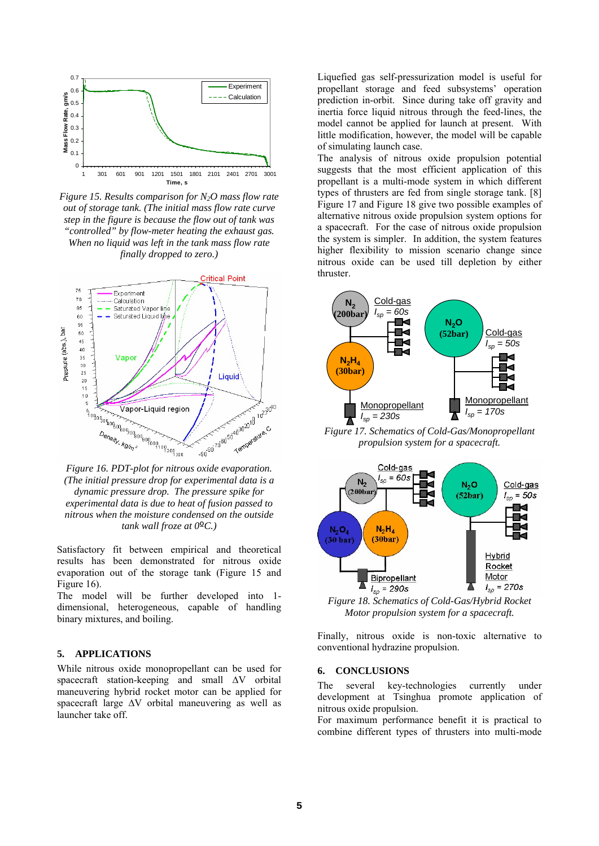

<span id="page-4-0"></span>*Figure 15. Results comparison for N2O mass flow rate out of storage tank. (The initial mass flow rate curve step in the figure is because the flow out of tank was "controlled" by flow-meter heating the exhaust gas. When no liquid was left in the tank mass flow rate finally dropped to zero.)*



<span id="page-4-2"></span><span id="page-4-1"></span>*(The initial pressure drop for experimental data is a nitrous when the moisture condensed on the outside dynamic pressure drop. The pressure spike for experimental data is due to heat of fusion passed to tank wall froze at 0ºC.)* 

Satisfactory fit between empirical and theoretical results has been demonstrated for nitrous oxide evaporation out of the storage tank [\(Figure 15](#page-4-0) and [Figure 16](#page-4-1)).

<span id="page-4-3"></span>dimensional, heterogeneous, capable of handling The model will be further developed into 1 binary mixtures, and boiling.

## **. APPLICATIONS 5**

While nitrous oxide monopropellant can be used for spacecraft station-keeping and small  $\Delta V$  orbital maneuvering hybrid rocket motor can be applied for spacecraft large ∆V orbital maneuvering as well as launcher take off.

propellant storage and feed subsystems' operation Liquefied gas self-pressurization model is useful for prediction in-orbit. Since during take off gravity and inertia force liquid nitrous through the feed-lines, the model cannot be applied for launch at present. With little modification, however, the model will be capable of simulating launch case.

suggests that the most efficient application of this The analysis of nitrous oxide propulsion potential propellant is a multi-mode system in which different types of thrusters are fed from single storage tank. [\[8](#page-5-6)] [Figure 17](#page-4-2) and [Figure 18](#page-4-3) give two possible examples of alternative nitrous oxide propulsion system options for a spacecraft. For the case of nitrous oxide propulsion the system is simpler. In addition, the system features higher flexibility to mission scenario change since nitrous oxide can be used till depletion by either thruster.



*Figure 17. Schematics of Cold-Gas/Monopropellant propulsion system for a spacecraft.* 



*Figure 18. Schematics of Cold-Gas/Hybrid Rocket Motor propulsion system for a spacecraft.* 

Finally, nitrous oxide is non-toxic alternative to onventional hydrazine propulsion. c

#### **6. CONCLUSIONS**

currently under development at Tsinghua promote application of The several key-technologies nitrous oxide propulsion.

combine different types of thrusters into multi-mode For maximum performance benefit it is practical to